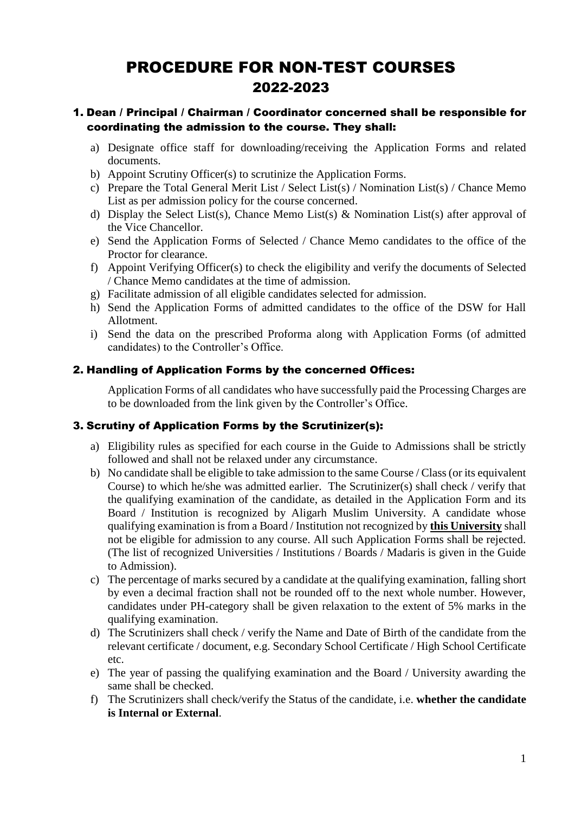# PROCEDURE FOR NON-TEST COURSES 2022-2023

# 1. Dean / Principal / Chairman / Coordinator concerned shall be responsible for coordinating the admission to the course. They shall:

- a) Designate office staff for downloading/receiving the Application Forms and related documents.
- b) Appoint Scrutiny Officer(s) to scrutinize the Application Forms.
- c) Prepare the Total General Merit List / Select List(s) / Nomination List(s) / Chance Memo List as per admission policy for the course concerned.
- d) Display the Select List(s), Chance Memo List(s) & Nomination List(s) after approval of the Vice Chancellor.
- e) Send the Application Forms of Selected / Chance Memo candidates to the office of the Proctor for clearance.
- f) Appoint Verifying Officer(s) to check the eligibility and verify the documents of Selected / Chance Memo candidates at the time of admission.
- g) Facilitate admission of all eligible candidates selected for admission.
- h) Send the Application Forms of admitted candidates to the office of the DSW for Hall Allotment.
- i) Send the data on the prescribed Proforma along with Application Forms (of admitted candidates) to the Controller's Office.

### 2. Handling of Application Forms by the concerned Offices:

Application Forms of all candidates who have successfully paid the Processing Charges are to be downloaded from the link given by the Controller's Office.

### 3. Scrutiny of Application Forms by the Scrutinizer(s):

- a) Eligibility rules as specified for each course in the Guide to Admissions shall be strictly followed and shall not be relaxed under any circumstance.
- b) No candidate shall be eligible to take admission to the same Course / Class (or its equivalent Course) to which he/she was admitted earlier. The Scrutinizer(s) shall check / verify that the qualifying examination of the candidate, as detailed in the Application Form and its Board / Institution is recognized by Aligarh Muslim University. A candidate whose qualifying examination is from a Board / Institution not recognized by **this University** shall not be eligible for admission to any course. All such Application Forms shall be rejected. (The list of recognized Universities / Institutions / Boards / Madaris is given in the Guide to Admission).
- c) The percentage of marks secured by a candidate at the qualifying examination, falling short by even a decimal fraction shall not be rounded off to the next whole number. However, candidates under PH-category shall be given relaxation to the extent of 5% marks in the qualifying examination.
- d) The Scrutinizers shall check / verify the Name and Date of Birth of the candidate from the relevant certificate / document, e.g. Secondary School Certificate / High School Certificate etc.
- e) The year of passing the qualifying examination and the Board / University awarding the same shall be checked.
- f) The Scrutinizers shall check/verify the Status of the candidate, i.e. **whether the candidate is Internal or External**.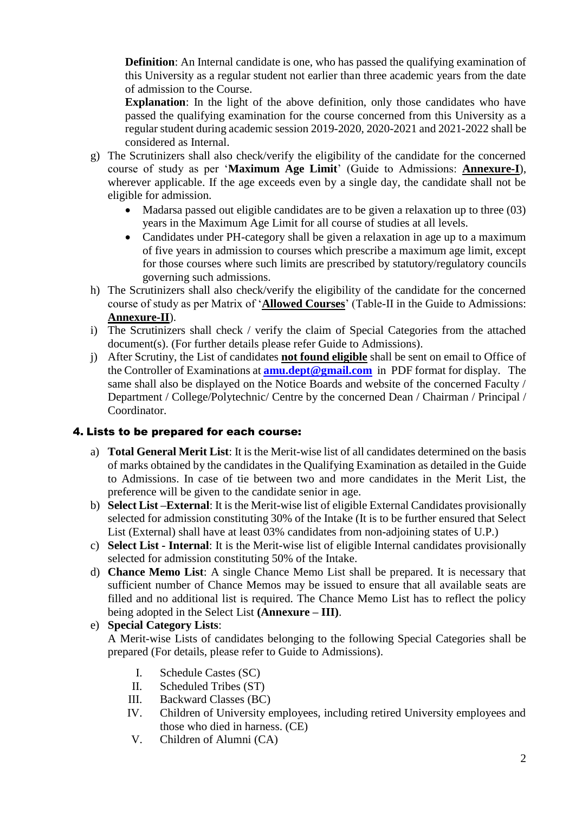**Definition**: An Internal candidate is one, who has passed the qualifying examination of this University as a regular student not earlier than three academic years from the date of admission to the Course.

**Explanation**: In the light of the above definition, only those candidates who have passed the qualifying examination for the course concerned from this University as a regular student during academic session 2019-2020, 2020-2021 and 2021-2022 shall be considered as Internal.

- g) The Scrutinizers shall also check/verify the eligibility of the candidate for the concerned course of study as per '**Maximum Age Limit**' (Guide to Admissions: **Annexure-I**), wherever applicable. If the age exceeds even by a single day, the candidate shall not be eligible for admission.
	- Madarsa passed out eligible candidates are to be given a relaxation up to three (03) years in the Maximum Age Limit for all course of studies at all levels.
	- Candidates under PH-category shall be given a relaxation in age up to a maximum of five years in admission to courses which prescribe a maximum age limit, except for those courses where such limits are prescribed by statutory/regulatory councils governing such admissions.
- h) The Scrutinizers shall also check/verify the eligibility of the candidate for the concerned course of study as per Matrix of '**Allowed Courses**' (Table-II in the Guide to Admissions: **Annexure-II**).
- i) The Scrutinizers shall check / verify the claim of Special Categories from the attached document(s). (For further details please refer Guide to Admissions).
- j) After Scrutiny, the List of candidates **not found eligible** shall be sent on email to Office of the Controller of Examinations at **[amu.dept@gmail.com](mailto:amu.dept@gmail.com)** in PDF format for display. The same shall also be displayed on the Notice Boards and website of the concerned Faculty / Department / College/Polytechnic/ Centre by the concerned Dean / Chairman / Principal / Coordinator.

# 4. Lists to be prepared for each course:

- a) **Total General Merit List**: It is the Merit-wise list of all candidates determined on the basis of marks obtained by the candidates in the Qualifying Examination as detailed in the Guide to Admissions. In case of tie between two and more candidates in the Merit List, the preference will be given to the candidate senior in age.
- b) **Select List –External**: It is the Merit-wise list of eligible External Candidates provisionally selected for admission constituting 30% of the Intake (It is to be further ensured that Select List (External) shall have at least 03% candidates from non-adjoining states of U.P.)
- c) **Select List - Internal**: It is the Merit-wise list of eligible Internal candidates provisionally selected for admission constituting 50% of the Intake.
- d) **Chance Memo List**: A single Chance Memo List shall be prepared. It is necessary that sufficient number of Chance Memos may be issued to ensure that all available seats are filled and no additional list is required. The Chance Memo List has to reflect the policy being adopted in the Select List **(Annexure – III)**.

### e) **Special Category Lists**:

A Merit-wise Lists of candidates belonging to the following Special Categories shall be prepared (For details, please refer to Guide to Admissions).

- I. Schedule Castes (SC)
- II. Scheduled Tribes (ST)
- III. Backward Classes (BC)
- IV. Children of University employees, including retired University employees and those who died in harness. (CE)
- V. Children of Alumni (CA)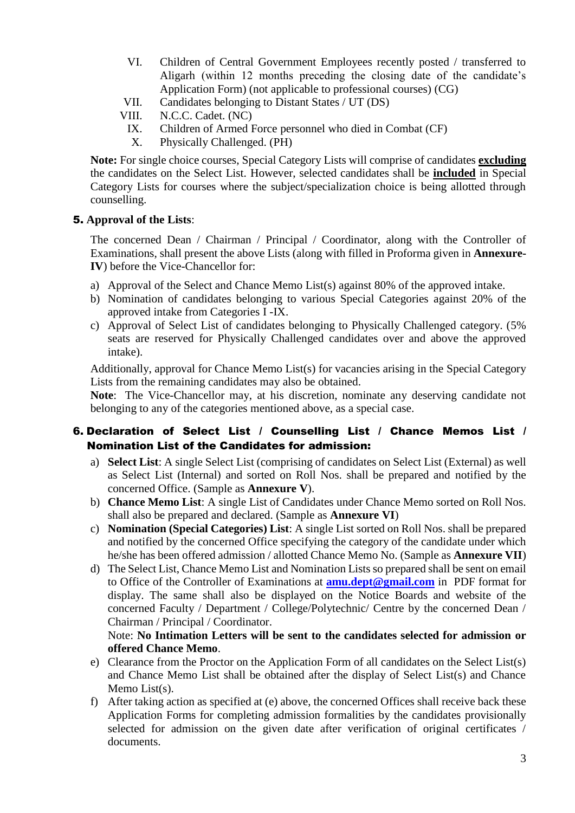- VI. Children of Central Government Employees recently posted / transferred to Aligarh (within 12 months preceding the closing date of the candidate's Application Form) (not applicable to professional courses) (CG)
- VII. Candidates belonging to Distant States / UT (DS)
- VIII. N.C.C. Cadet. (NC)
	- IX. Children of Armed Force personnel who died in Combat (CF)
	- X. Physically Challenged. (PH)

**Note:** For single choice courses, Special Category Lists will comprise of candidates **excluding** the candidates on the Select List. However, selected candidates shall be **included** in Special Category Lists for courses where the subject/specialization choice is being allotted through counselling.

### 5. **Approval of the Lists**:

The concerned Dean / Chairman / Principal / Coordinator, along with the Controller of Examinations, shall present the above Lists (along with filled in Proforma given in **Annexure-IV**) before the Vice-Chancellor for:

- a) Approval of the Select and Chance Memo List(s) against 80% of the approved intake.
- b) Nomination of candidates belonging to various Special Categories against 20% of the approved intake from Categories I -IX.
- c) Approval of Select List of candidates belonging to Physically Challenged category. (5% seats are reserved for Physically Challenged candidates over and above the approved intake).

Additionally, approval for Chance Memo List(s) for vacancies arising in the Special Category Lists from the remaining candidates may also be obtained.

**Note**: The Vice-Chancellor may, at his discretion, nominate any deserving candidate not belonging to any of the categories mentioned above, as a special case.

### 6. Declaration of Select List / Counselling List / Chance Memos List / Nomination List of the Candidates for admission:

- a) **Select List**: A single Select List (comprising of candidates on Select List (External) as well as Select List (Internal) and sorted on Roll Nos. shall be prepared and notified by the concerned Office. (Sample as **Annexure V**).
- b) **Chance Memo List**: A single List of Candidates under Chance Memo sorted on Roll Nos. shall also be prepared and declared. (Sample as **Annexure VI**)
- c) **Nomination (Special Categories) List**: A single List sorted on Roll Nos. shall be prepared and notified by the concerned Office specifying the category of the candidate under which he/she has been offered admission / allotted Chance Memo No. (Sample as **Annexure VII**)
- d) The Select List, Chance Memo List and Nomination Lists so prepared shall be sent on email to Office of the Controller of Examinations at **[amu.dept@gmail.com](mailto:amu.dept@gmail.com)** in PDF format for display. The same shall also be displayed on the Notice Boards and website of the concerned Faculty / Department / College/Polytechnic/ Centre by the concerned Dean / Chairman / Principal / Coordinator.

### Note: **No Intimation Letters will be sent to the candidates selected for admission or offered Chance Memo**.

- e) Clearance from the Proctor on the Application Form of all candidates on the Select List(s) and Chance Memo List shall be obtained after the display of Select List(s) and Chance Memo List(s).
- f) After taking action as specified at (e) above, the concerned Offices shall receive back these Application Forms for completing admission formalities by the candidates provisionally selected for admission on the given date after verification of original certificates / documents.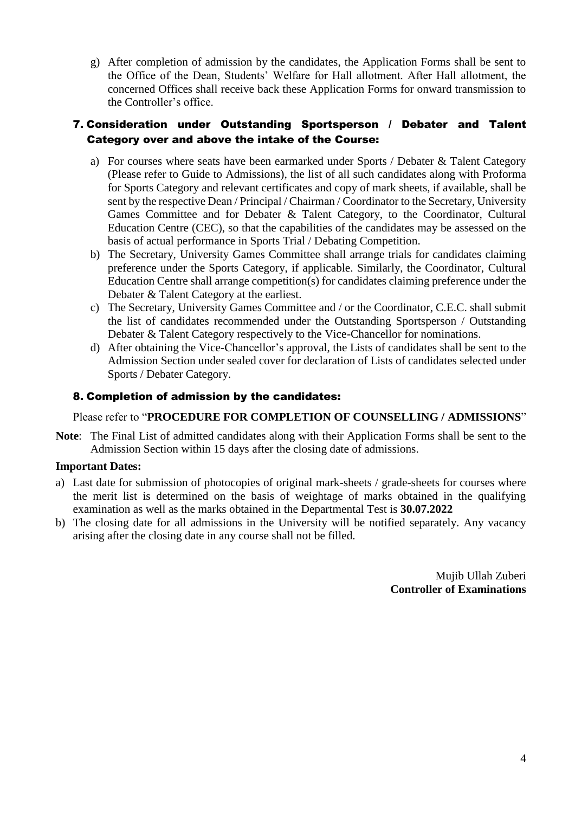g) After completion of admission by the candidates, the Application Forms shall be sent to the Office of the Dean, Students' Welfare for Hall allotment. After Hall allotment, the concerned Offices shall receive back these Application Forms for onward transmission to the Controller's office.

## 7. Consideration under Outstanding Sportsperson / Debater and Talent Category over and above the intake of the Course:

- a) For courses where seats have been earmarked under Sports / Debater & Talent Category (Please refer to Guide to Admissions), the list of all such candidates along with Proforma for Sports Category and relevant certificates and copy of mark sheets, if available, shall be sent by the respective Dean / Principal / Chairman / Coordinator to the Secretary, University Games Committee and for Debater & Talent Category, to the Coordinator, Cultural Education Centre (CEC), so that the capabilities of the candidates may be assessed on the basis of actual performance in Sports Trial / Debating Competition.
- b) The Secretary, University Games Committee shall arrange trials for candidates claiming preference under the Sports Category, if applicable. Similarly, the Coordinator, Cultural Education Centre shall arrange competition(s) for candidates claiming preference under the Debater & Talent Category at the earliest.
- c) The Secretary, University Games Committee and / or the Coordinator, C.E.C. shall submit the list of candidates recommended under the Outstanding Sportsperson / Outstanding Debater & Talent Category respectively to the Vice-Chancellor for nominations.
- d) After obtaining the Vice-Chancellor's approval, the Lists of candidates shall be sent to the Admission Section under sealed cover for declaration of Lists of candidates selected under Sports / Debater Category.

# 8. Completion of admission by the candidates:

Please refer to "**PROCEDURE FOR COMPLETION OF COUNSELLING / ADMISSIONS**"

**Note**: The Final List of admitted candidates along with their Application Forms shall be sent to the Admission Section within 15 days after the closing date of admissions.

### **Important Dates:**

- a) Last date for submission of photocopies of original mark-sheets / grade-sheets for courses where the merit list is determined on the basis of weightage of marks obtained in the qualifying examination as well as the marks obtained in the Departmental Test is **30.07.2022**
- b) The closing date for all admissions in the University will be notified separately. Any vacancy arising after the closing date in any course shall not be filled.

Mujib Ullah Zuberi **Controller of Examinations**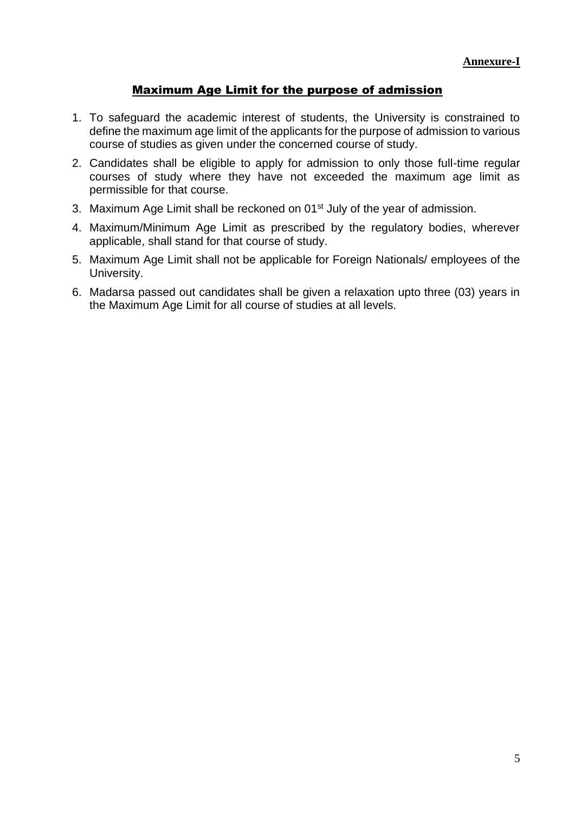# Maximum Age Limit for the purpose of admission

- 1. To safeguard the academic interest of students, the University is constrained to define the maximum age limit of the applicants for the purpose of admission to various course of studies as given under the concerned course of study.
- 2. Candidates shall be eligible to apply for admission to only those full-time regular courses of study where they have not exceeded the maximum age limit as permissible for that course.
- 3. Maximum Age Limit shall be reckoned on 01<sup>st</sup> July of the year of admission.
- 4. Maximum/Minimum Age Limit as prescribed by the regulatory bodies, wherever applicable, shall stand for that course of study.
- 5. Maximum Age Limit shall not be applicable for Foreign Nationals/ employees of the University.
- 6. Madarsa passed out candidates shall be given a relaxation upto three (03) years in the Maximum Age Limit for all course of studies at all levels.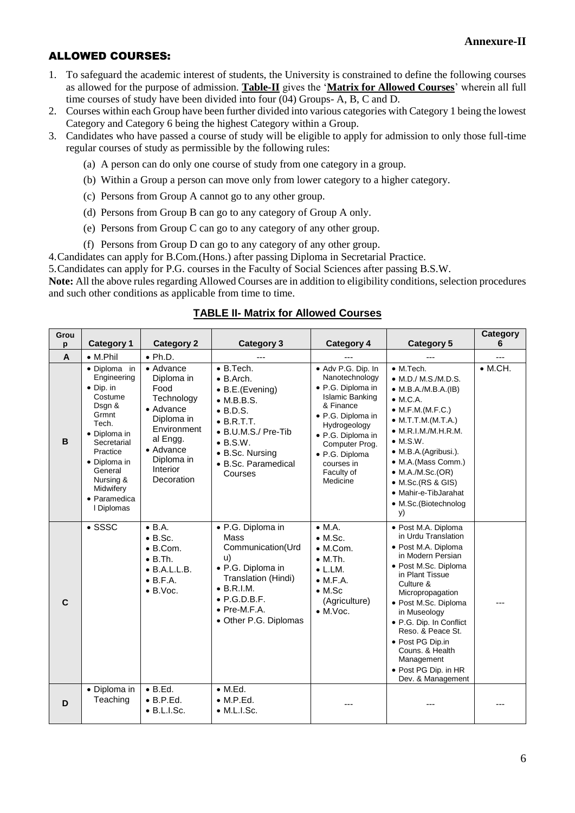# ALLOWED COURSES:

- 1. To safeguard the academic interest of students, the University is constrained to define the following courses as allowed for the purpose of admission. **Table-II** gives the '**Matrix for Allowed Courses**' wherein all full time courses of study have been divided into four (04) Groups- A, B, C and D.
- 2. Courses within each Group have been further divided into various categories with Category 1 being the lowest Category and Category 6 being the highest Category within a Group.
- 3. Candidates who have passed a course of study will be eligible to apply for admission to only those full-time regular courses of study as permissible by the following rules:
	- (a) A person can do only one course of study from one category in a group.
	- (b) Within a Group a person can move only from lower category to a higher category.
	- (c) Persons from Group A cannot go to any other group.
	- (d) Persons from Group B can go to any category of Group A only.
	- (e) Persons from Group C can go to any category of any other group.
	- (f) Persons from Group D can go to any category of any other group.

4.Candidates can apply for B.Com.(Hons.) after passing Diploma in Secretarial Practice.

5.Candidates can apply for P.G. courses in the Faculty of Social Sciences after passing B.S.W.

**Note:** All the above rules regarding Allowed Courses are in addition to eligibility conditions, selection procedures and such other conditions as applicable from time to time.

| Grou<br>p      | <b>Category 1</b>                                                                                                                                                                                                     | <b>Category 2</b>                                                                                                                                                | <b>Category 3</b>                                                                                                                                                                                                                  | <b>Category 4</b>                                                                                                                                                                                                                      | <b>Category 5</b>                                                                                                                                                                                                                                                                                                                                                               | <b>Category</b><br>6 |
|----------------|-----------------------------------------------------------------------------------------------------------------------------------------------------------------------------------------------------------------------|------------------------------------------------------------------------------------------------------------------------------------------------------------------|------------------------------------------------------------------------------------------------------------------------------------------------------------------------------------------------------------------------------------|----------------------------------------------------------------------------------------------------------------------------------------------------------------------------------------------------------------------------------------|---------------------------------------------------------------------------------------------------------------------------------------------------------------------------------------------------------------------------------------------------------------------------------------------------------------------------------------------------------------------------------|----------------------|
| $\overline{A}$ | $\bullet$ M.Phil                                                                                                                                                                                                      | $\bullet$ Ph.D.                                                                                                                                                  | ---                                                                                                                                                                                                                                |                                                                                                                                                                                                                                        | ---                                                                                                                                                                                                                                                                                                                                                                             | ---                  |
| B              | · Diploma in<br>Engineering<br>$\bullet$ Dip. in<br>Costume<br>Dsgn &<br>Grmnt<br>Tech.<br>• Diploma in<br>Secretarial<br>Practice<br>• Diploma in<br>General<br>Nursing &<br>Midwifery<br>• Paramedica<br>I Diplomas | • Advance<br>Diploma in<br>Food<br>Technology<br>• Advance<br>Diploma in<br>Environment<br>al Engg.<br>$\bullet$ Advance<br>Diploma in<br>Interior<br>Decoration | $\bullet$ B.Tech.<br>$\bullet$ B. Arch.<br>$\bullet$ B.E.(Evening)<br>$\bullet$ M.B.B.S.<br>$\bullet$ B.D.S.<br>$\bullet$ B.R.T.T.<br>• B.U.M.S./ Pre-Tib<br>$\bullet$ B.S.W.<br>• B.Sc. Nursing<br>• B.Sc. Paramedical<br>Courses | · Adv P.G. Dip. In<br>Nanotechnology<br>· P.G. Diploma in<br><b>Islamic Banking</b><br>& Finance<br>· P.G. Diploma in<br>Hydrogeology<br>· P.G. Diploma in<br>Computer Prog.<br>· P.G. Diploma<br>courses in<br>Faculty of<br>Medicine | $\bullet$ M.Tech.<br>$\bullet$ M.D./ M.S./M.D.S.<br>$\bullet$ M.B.A./M.B.A.(IB)<br>$\bullet$ M.C.A.<br>$\bullet$ M.F.M.(M.F.C.)<br>$\bullet$ M.T.T.M.(M.T.A.)<br>$\bullet$ M.R.I.M./M.H.R.M.<br>$\bullet$ M.S.W.<br>· M.B.A.(Agribusi.).<br>• M.A.(Mass Comm.)<br>$\bullet$ M.A./M.Sc.(OR)<br>$\bullet$ M.Sc. (RS & GIS)<br>• Mahir-e-TibJarahat<br>• M.Sc. (Biotechnolog<br>y) | $\bullet$ M.CH.      |
| $\mathbf{C}$   | $\bullet$ SSSC                                                                                                                                                                                                        | $\bullet$ B.A.<br>$\bullet$ B.Sc.<br>• B.Com.<br>$\bullet$ B.Th.<br>$\bullet$ B.A.L.L.B.<br>$\bullet$ B.F.A.<br>$\bullet$ B.Voc.                                 | · P.G. Diploma in<br>Mass<br>Communication(Urd<br>u)<br>• P.G. Diploma in<br>Translation (Hindi)<br>$\bullet$ B.R.I.M.<br>$\bullet$ P.G.D.B.F.<br>$\bullet$ Pre-M.F.A.<br>• Other P.G. Diplomas                                    | $\bullet$ M.A.<br>$\bullet$ M.Sc.<br>• M.Com.<br>$\bullet$ M.Th.<br>$\bullet$ L.LM.<br>$\bullet$ M.F.A.<br>$\bullet$ M.Sc<br>(Agriculture)<br>$\bullet$ M.Voc.                                                                         | · Post M.A. Diploma<br>in Urdu Translation<br>· Post M.A. Diploma<br>in Modern Persian<br>· Post M.Sc. Diploma<br>in Plant Tissue<br>Culture &<br>Micropropagation<br>· Post M.Sc. Diploma<br>in Museology<br>• P.G. Dip. In Conflict<br>Reso, & Peace St.<br>• Post PG Dip.in<br>Couns, & Health<br>Management<br>• Post PG Dip. in HR<br>Dev. & Management                    |                      |
| D              | • Diploma in<br>Teaching                                                                                                                                                                                              | $\bullet$ B.Ed.<br>$\bullet$ B.P.Ed.<br>$\bullet$ B.L.I.Sc.                                                                                                      | $\bullet$ M.Ed.<br>$\bullet$ M.P.Ed.<br>$\bullet$ M.L.I.Sc.                                                                                                                                                                        |                                                                                                                                                                                                                                        |                                                                                                                                                                                                                                                                                                                                                                                 |                      |

### **TABLE II- Matrix for Allowed Courses**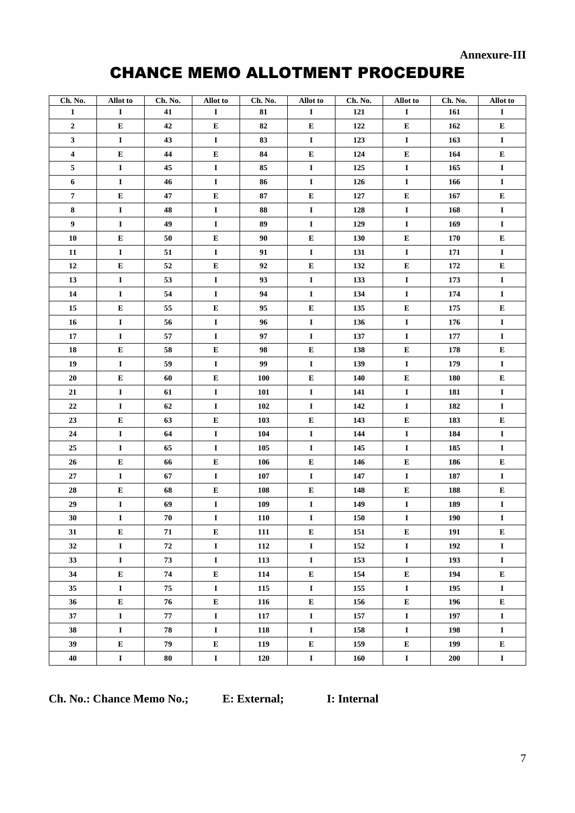**Annexure-III** 

# **CHANCE MEMO ALLOTMENT PROCEDURE**

| Ch. No.          | Allot to    | Ch. No. | Allot to    | Ch. No.    | Allot to    | Ch. No. | Allot to    | Ch. No.    | Allot to    |
|------------------|-------------|---------|-------------|------------|-------------|---------|-------------|------------|-------------|
| $\mathbf{1}$     | $\mathbf I$ | 41      | $\bf{I}$    | 81         | $\mathbf I$ | 121     | $\mathbf I$ | 161        | $\mathbf I$ |
| $\bf 2$          | ${\bf E}$   | 42      | E           | 82         | ${\bf E}$   | 122     | E           | 162        | E           |
| $\mathbf{3}$     | $\bf{I}$    | 43      | $\mathbf I$ | 83         | Ι.          | 123     | $\mathbf I$ | 163        | $\mathbf I$ |
| $\boldsymbol{4}$ | Е           | 44      | E           | 84         | ${\bf E}$   | 124     | ${\bf E}$   | 164        | ${\bf E}$   |
| 5                | $\bf{I}$    | 45      | $\mathbf I$ | 85         | $\mathbf I$ | 125     | $\mathbf I$ | 165        | $\mathbf I$ |
| 6                | $\bf{I}$    | 46      | $\bf{I}$    | 86         | $\mathbf I$ | 126     | $\bf{I}$    | 166        | $\mathbf I$ |
| $\bf 7$          | ${\bf E}$   | 47      | E           | 87         | ${\bf E}$   | 127     | ${\bf E}$   | 167        | E           |
| $\bf 8$          | $\bf{I}$    | 48      | $\mathbf I$ | 88         | $\bf I$     | 128     | $\mathbf I$ | 168        | $\mathbf I$ |
| $\boldsymbol{9}$ | $\bf{I}$    | 49      | $\mathbf I$ | 89         | $\mathbf I$ | 129     | $\mathbf I$ | 169        | $\mathbf I$ |
| 10               | ${\bf E}$   | 50      | E           | 90         | ${\bf E}$   | 130     | ${\bf E}$   | 170        | E           |
| 11               | $\bf{I}$    | 51      | $\bf{I}$    | 91         | $\mathbf I$ | 131     | $\bf{I}$    | 171        | $\mathbf I$ |
| $\bf 12$         | E           | 52      | ${\bf E}$   | 92         | ${\bf E}$   | 132     | ${\bf E}$   | 172        | E           |
| 13               | $\bf{I}$    | 53      | $\bf{I}$    | 93         | $\mathbf I$ | 133     | $\mathbf I$ | 173        | $\mathbf I$ |
| 14               | $\mathbf I$ | 54      | $\mathbf I$ | 94         | $\mathbf I$ | 134     | $\mathbf I$ | 174        | $\mathbf I$ |
| 15               | ${\bf E}$   | 55      | E           | 95         | E           | 135     | ${\bf E}$   | 175        | ${\bf E}$   |
| 16               | $\bf{I}$    | 56      | $\bf{I}$    | 96         | $\mathbf I$ | 136     | $\mathbf I$ | 176        | $\mathbf I$ |
| ${\bf 17}$       | $\mathbf I$ | 57      | $\mathbf I$ | 97         | $\bf I$     | 137     | $\mathbf I$ | 177        | $\mathbf I$ |
| 18               | ${\bf E}$   | 58      | ${\bf E}$   | 98         | ${\bf E}$   | 138     | ${\bf E}$   | 178        | E           |
| 19               | $\mathbf I$ | 59      | $\mathbf I$ | 99         | $\mathbf I$ | 139     | $\mathbf I$ | 179        | $\mathbf I$ |
| $20\,$           | ${\bf E}$   | 60      | E           | <b>100</b> | E           | 140     | ${\bf E}$   | 180        | ${\bf E}$   |
| 21               | $\bf{I}$    | 61      | $\mathbf I$ | 101        | $\bf I$     | 141     | $\mathbf I$ | 181        | $\mathbf I$ |
| $\bf 22$         | $\bf{I}$    | 62      | $\mathbf I$ | 102        | $\mathbf I$ | 142     | $\bf{I}$    | 182        | $\mathbf I$ |
| 23               | E           | 63      | ${\bf E}$   | 103        | E           | 143     | ${\bf E}$   | 183        | E           |
| 24               | $\bf{I}$    | 64      | $\mathbf I$ | 104        | $\bf I$     | 144     | $\mathbf I$ | 184        | $\mathbf I$ |
| 25               | $\bf{I}$    | 65      | $\mathbf I$ | 105        | $\mathbf I$ | 145     | $\mathbf I$ | 185        | $\mathbf I$ |
| $26\phantom{.}$  | ${\bf E}$   | 66      | E           | 106        | E           | 146     | ${\bf E}$   | 186        | E           |
| 27               | $\bf{I}$    | 67      | $\mathbf I$ | 107        | $\mathbf I$ | 147     | I           | 187        | $\mathbf I$ |
| 28               | ${\bf E}$   | 68      | E           | 108        | Е           | 148     | ${\bf E}$   | 188        | E           |
| 29               | $\mathbf I$ | 69      | $\mathbf I$ | 109        | $\bf I$     | 149     | $\mathbf I$ | 189        | $\mathbf I$ |
| 30               | $\mathbf I$ | 70      | $\mathbf I$ | 110        | $\mathbf I$ | 150     | $\mathbf I$ | <b>190</b> | $\mathbf I$ |
| 31               | ${\bf E}$   | 71      | ${\bf E}$   | 111        | ${\bf E}$   | 151     | ${\bf E}$   | 191        | ${\bf E}$   |
| 32               | $\mathbf I$ | 72      | $\mathbf I$ | 112        | $\mathbf I$ | 152     | $\mathbf I$ | 192        | $\mathbf I$ |
| 33               | $\bf{I}$    | 73      | $\bf{I}$    | 113        | $\mathbf I$ | 153     | $\mathbf I$ | 193        | $\mathbf I$ |
| 34               | Е           | 74      | ${\bf E}$   | 114        | ${\bf E}$   | 154     | ${\bf E}$   | 194        | E           |
| 35               | $\bf{I}$    | 75      | $\bf{I}$    | 115        | $\bf I$     | 155     | $\mathbf I$ | 195        | $\mathbf I$ |
| 36               | ${\bf E}$   | 76      | ${\bf E}$   | 116        | ${\bf E}$   | 156     | ${\bf E}$   | 196        | ${\bf E}$   |
| 37               | $\bf{I}$    | 77      | $\mathbf I$ | 117        | $\mathbf I$ | 157     | $\mathbf I$ | 197        | $\mathbf I$ |
| 38               | $\bf{I}$    | 78      | $\bf{I}$    | 118        | $\bf I$     | 158     | $\mathbf I$ | 198        | $\mathbf I$ |
| 39               | ${\bf E}$   | 79      | ${\bf E}$   | 119        | E           | 159     | E           | 199        | E           |
| 40               | 1           | 80      | $\bf{I}$    | 120        | $\mathbf I$ | 160     | $\mathbf I$ | 200        | $\mathbf I$ |

Ch. No.: Chance Memo No.; E: External;

I: Internal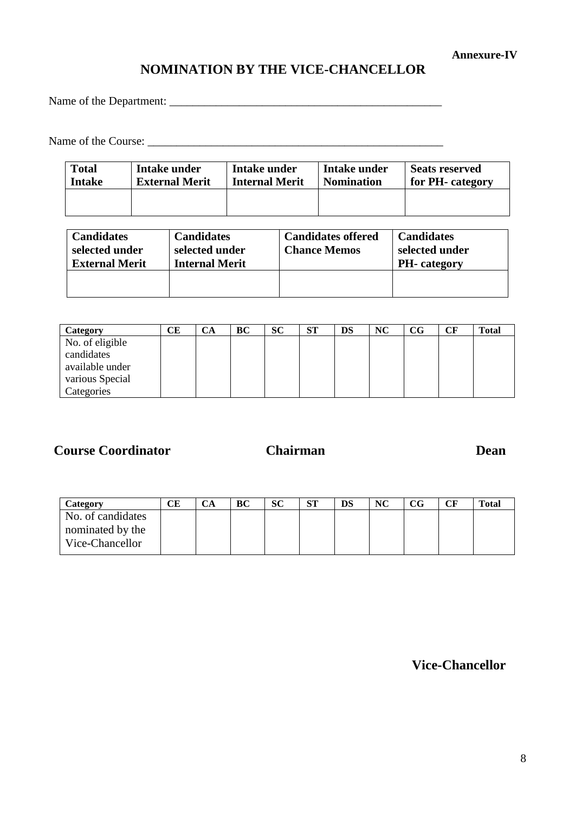### **Annexure-IV**

# **NOMINATION BY THE VICE-CHANCELLOR**

Name of the Department:

Name of the Course: \_\_\_\_\_\_\_\_\_\_\_\_\_\_\_\_\_\_\_\_\_\_\_\_\_\_\_\_\_\_\_\_\_\_\_\_\_\_\_\_\_\_\_\_\_\_\_\_\_\_\_

| <b>Total</b> | Intake under          | Intake under          | Intake under      | <b>Seats reserved</b> |
|--------------|-----------------------|-----------------------|-------------------|-----------------------|
| Intake       | <b>External Merit</b> | <b>Internal Merit</b> | <b>Nomination</b> | for PH- category      |
|              |                       |                       |                   |                       |

| <b>Candidates</b><br>selected under<br><b>External Merit</b> | <b>Candidates</b><br>selected under<br><b>Internal Merit</b> | <b>Candidates offered</b><br><b>Chance Memos</b> | <b>Candidates</b><br>selected under<br><b>PH</b> -category |
|--------------------------------------------------------------|--------------------------------------------------------------|--------------------------------------------------|------------------------------------------------------------|
|                                                              |                                                              |                                                  |                                                            |

| Category        | CЕ | CA | BС | <b>SC</b> | <b>ST</b> | DS | NC | $_{\rm CG}$ | $\bf C \bf F$ | <b>Total</b> |
|-----------------|----|----|----|-----------|-----------|----|----|-------------|---------------|--------------|
| No. of eligible |    |    |    |           |           |    |    |             |               |              |
| candidates      |    |    |    |           |           |    |    |             |               |              |
| available under |    |    |    |           |           |    |    |             |               |              |
| various Special |    |    |    |           |           |    |    |             |               |              |
| Categories      |    |    |    |           |           |    |    |             |               |              |

**Course Coordinator**

# **Chairman**

### **Dean**

| Category                            | CЕ | СA | ВC | <b>SC</b> | СΠ<br>ЮL | DS | <b>NC</b> | CG | CF | <b>Total</b> |
|-------------------------------------|----|----|----|-----------|----------|----|-----------|----|----|--------------|
| No. of candidates                   |    |    |    |           |          |    |           |    |    |              |
| nominated by the<br>Vice-Chancellor |    |    |    |           |          |    |           |    |    |              |

**Vice-Chancellor**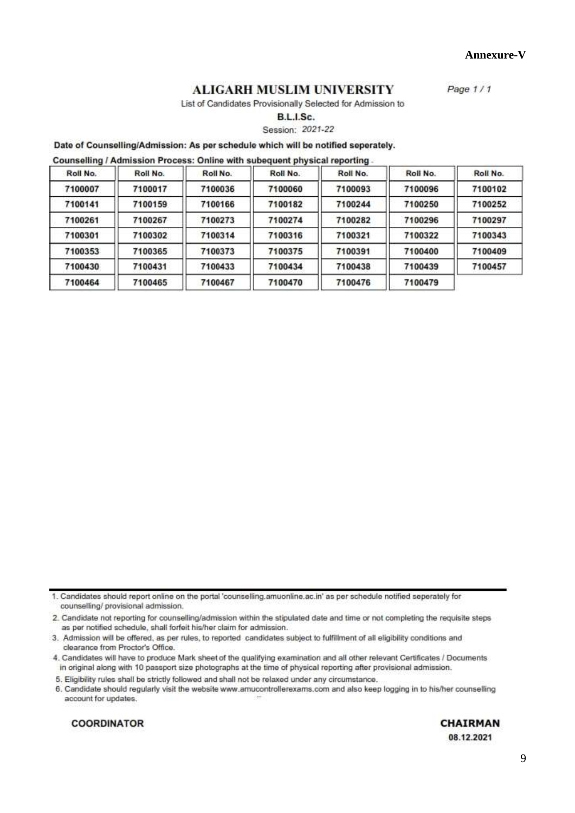9

Annexure-V

Page 1/1

### **ALIGARH MUSLIM UNIVERSITY**

List of Candidates Provisionally Selected for Admission to

B.L.I.Sc.

Session: 2021-22

### Date of Counselling/Admission: As per schedule which will be notified seperately.

Counselling / Admission Process: Online with subequent physical reporting.

| Roll No. | Roll No. | Roll No. | Roll No. | Roll No. | Roll No. | Roll No. |
|----------|----------|----------|----------|----------|----------|----------|
| 7100007  | 7100017  | 7100036  | 7100060  | 7100093  | 7100096  | 7100102  |
| 7100141  | 7100159  | 7100166  | 7100182  | 7100244  | 7100250  | 7100252  |
| 7100261  | 7100267  | 7100273  | 7100274  | 7100282  | 7100296  | 7100297  |
| 7100301  | 7100302  | 7100314  | 7100316  | 7100321  | 7100322  | 7100343  |
| 7100353  | 7100365  | 7100373  | 7100375  | 7100391  | 7100400  | 7100409  |
| 7100430  | 7100431  | 7100433  | 7100434  | 7100438  | 7100439  | 7100457  |
| 7100464  | 7100465  | 7100467  | 7100470  | 7100476  | 7100479  |          |

1. Candidates should report online on the portal 'counselling.amuonline.ac.in' as per schedule notified seperately for counselling/ provisional admission.

2. Candidate not reporting for counselling/admission within the stipulated date and time or not completing the requisite steps as per notified schedule, shall forfeit his/her claim for admission.

3. Admission will be offered, as per rules, to reported candidates subject to fulfillment of all eligibility conditions and clearance from Proctor's Office.

4. Candidates will have to produce Mark sheet of the qualifying examination and all other relevant Certificates / Documents in original along with 10 passport size photographs at the time of physical reporting after provisional admission.

5. Eligibility rules shall be strictly followed and shall not be relaxed under any circumstance.

6. Candidate should regularly visit the website www.amucontrollerexams.com and also keep logging in to his/her counselling account for updates.

**COORDINATOR** 

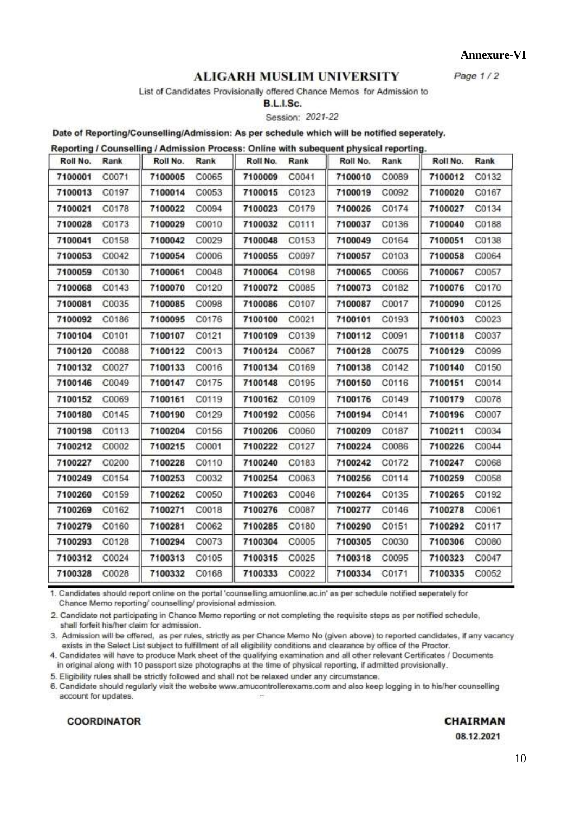Annexure-VI

Page  $1/2$ 

## **ALIGARH MUSLIM UNIVERSITY**

List of Candidates Provisionally offered Chance Memos for Admission to

B.L.I.Sc.

Session: 2021-22

Date of Reporting/Counselling/Admission: As per schedule which will be notified seperately.  $\mathbf{u}$  $\mathbf{r}$ æ

| Roll No. | Rank  | Roll No. | Rank  | Roll No. | Rank  | Roll No. | Rank  | Roll No. | Rank  |
|----------|-------|----------|-------|----------|-------|----------|-------|----------|-------|
| 7100001  | C0071 | 7100005  | C0065 | 7100009  | C0041 | 7100010  | C0089 | 7100012  | C0132 |
| 7100013  | C0197 | 7100014  | C0053 | 7100015  | C0123 | 7100019  | C0092 | 7100020  | C0167 |
| 7100021  | C0178 | 7100022  | C0094 | 7100023  | C0179 | 7100026  | C0174 | 7100027  | C0134 |
| 7100028  | C0173 | 7100029  | C0010 | 7100032  | C0111 | 7100037  | C0136 | 7100040  | C0188 |
| 7100041  | C0158 | 7100042  | C0029 | 7100048  | C0153 | 7100049  | C0164 | 7100051  | C0138 |
| 7100053  | C0042 | 7100054  | C0006 | 7100055  | C0097 | 7100057  | C0103 | 7100058  | C0064 |
| 7100059  | C0130 | 7100061  | C0048 | 7100064  | C0198 | 7100065  | C0066 | 7100067  | C0057 |
| 7100068  | C0143 | 7100070  | C0120 | 7100072  | C0085 | 7100073  | C0182 | 7100076  | C0170 |
| 7100081  | C0035 | 7100085  | C0098 | 7100086  | C0107 | 7100087  | C0017 | 7100090  | C0125 |
| 7100092  | C0186 | 7100095  | C0176 | 7100100  | C0021 | 7100101  | C0193 | 7100103  | C0023 |
| 7100104  | C0101 | 7100107  | C0121 | 7100109  | C0139 | 7100112  | C0091 | 7100118  | C0037 |
| 7100120  | C0088 | 7100122  | C0013 | 7100124  | C0067 | 7100128  | C0075 | 7100129  | C0099 |
| 7100132  | C0027 | 7100133  | C0016 | 7100134  | C0169 | 7100138  | C0142 | 7100140  | C0150 |
| 7100146  | C0049 | 7100147  | C0175 | 7100148  | C0195 | 7100150  | C0116 | 7100151  | C0014 |
| 7100152  | C0069 | 7100161  | C0119 | 7100162  | C0109 | 7100176  | C0149 | 7100179  | C0078 |
| 7100180  | C0145 | 7100190  | C0129 | 7100192  | C0056 | 7100194  | C0141 | 7100196  | C0007 |
| 7100198  | C0113 | 7100204  | C0156 | 7100206  | C0060 | 7100209  | C0187 | 7100211  | C0034 |
| 7100212  | C0002 | 7100215  | C0001 | 7100222  | C0127 | 7100224  | C0086 | 7100226  | C0044 |
| 7100227  | C0200 | 7100228  | C0110 | 7100240  | C0183 | 7100242  | C0172 | 7100247  | C0068 |
| 7100249  | C0154 | 7100253  | C0032 | 7100254  | C0063 | 7100256  | C0114 | 7100259  | C0058 |
| 7100260  | C0159 | 7100262  | C0050 | 7100263  | C0046 | 7100264  | C0135 | 7100265  | C0192 |
| 7100269  | C0162 | 7100271  | C0018 | 7100276  | C0087 | 7100277  | C0146 | 7100278  | C0061 |
| 7100279  | C0160 | 7100281  | C0062 | 7100285  | C0180 | 7100290  | C0151 | 7100292  | C0117 |
| 7100293  | C0128 | 7100294  | C0073 | 7100304  | C0005 | 7100305  | C0030 | 7100306  | C0080 |
| 7100312  | C0024 | 7100313  | C0105 | 7100315  | C0025 | 7100318  | C0095 | 7100323  | C0047 |
| 7100328  | C0028 | 7100332  | C0168 | 7100333  | C0022 | 7100334  | C0171 | 7100335  | C0052 |

1. Candidates should report online on the portal 'counselling.amuonline.ac.in' as per schedule notified seperately for Chance Memo reporting/ counselling/ provisional admission.

2. Candidate not participating in Chance Memo reporting or not completing the requisite steps as per notified schedule, shall forfeit his/her claim for admission.

3. Admission will be offered, as per rules, strictly as per Chance Memo No (given above) to reported candidates, if any vacancy exists in the Select List subject to fulfillment of all eligibility conditions and clearance by office of the Proctor.

4. Candidates will have to produce Mark sheet of the qualifying examination and all other relevant Certificates / Documents in original along with 10 passport size photographs at the time of physical reporting, if admitted provisionally.

5. Eligibility rules shall be strictly followed and shall not be relaxed under any circumstance.

6. Candidate should regularly visit the website www.amucontrollerexams.com and also keep logging in to his/her counselling account for updates.

### **COORDINATOR**

**CHAIRMAN** 

08.12.2021